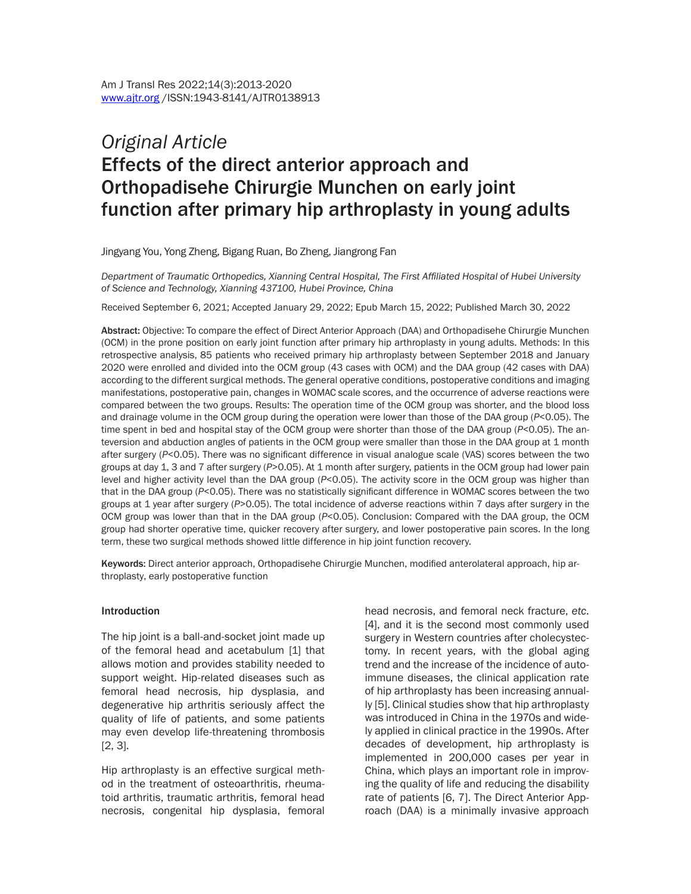# *Original Article* Effects of the direct anterior approach and Orthopadisehe Chirurgie Munchen on early joint function after primary hip arthroplasty in young adults

Jingyang You, Yong Zheng, Bigang Ruan, Bo Zheng, Jiangrong Fan

*Department of Traumatic Orthopedics, Xianning Central Hospital, The First Affiliated Hospital of Hubei University of Science and Technology, Xianning 437100, Hubei Province, China*

Received September 6, 2021; Accepted January 29, 2022; Epub March 15, 2022; Published March 30, 2022

Abstract: Objective: To compare the effect of Direct Anterior Approach (DAA) and Orthopadisehe Chirurgie Munchen (OCM) in the prone position on early joint function after primary hip arthroplasty in young adults. Methods: In this retrospective analysis, 85 patients who received primary hip arthroplasty between September 2018 and January 2020 were enrolled and divided into the OCM group (43 cases with OCM) and the DAA group (42 cases with DAA) according to the different surgical methods. The general operative conditions, postoperative conditions and imaging manifestations, postoperative pain, changes in WOMAC scale scores, and the occurrence of adverse reactions were compared between the two groups. Results: The operation time of the OCM group was shorter, and the blood loss and drainage volume in the OCM group during the operation were lower than those of the DAA group (*P*<0.05). The time spent in bed and hospital stay of the OCM group were shorter than those of the DAA group (*P*<0.05). The anteversion and abduction angles of patients in the OCM group were smaller than those in the DAA group at 1 month after surgery (*P*<0.05). There was no significant difference in visual analogue scale (VAS) scores between the two groups at day 1, 3 and 7 after surgery (*P*>0.05). At 1 month after surgery, patients in the OCM group had lower pain level and higher activity level than the DAA group (*P*<0.05). The activity score in the OCM group was higher than that in the DAA group (*P*<0.05). There was no statistically significant difference in WOMAC scores between the two groups at 1 year after surgery (*P*>0.05). The total incidence of adverse reactions within 7 days after surgery in the OCM group was lower than that in the DAA group (*P*<0.05). Conclusion: Compared with the DAA group, the OCM group had shorter operative time, quicker recovery after surgery, and lower postoperative pain scores. In the long term, these two surgical methods showed little difference in hip joint function recovery.

Keywords: Direct anterior approach, Orthopadisehe Chirurgie Munchen, modified anterolateral approach, hip arthroplasty, early postoperative function

#### Introduction

The hip joint is a ball-and-socket joint made up of the femoral head and acetabulum [1] that allows motion and provides stability needed to support weight. Hip-related diseases such as femoral head necrosis, hip dysplasia, and degenerative hip arthritis seriously affect the quality of life of patients, and some patients may even develop life-threatening thrombosis [2, 3].

Hip arthroplasty is an effective surgical method in the treatment of osteoarthritis, rheumatoid arthritis, traumatic arthritis, femoral head necrosis, congenital hip dysplasia, femoral head necrosis, and femoral neck fracture, *etc*. [4], and it is the second most commonly used surgery in Western countries after cholecystectomy. In recent years, with the global aging trend and the increase of the incidence of autoimmune diseases, the clinical application rate of hip arthroplasty has been increasing annually [5]. Clinical studies show that hip arthroplasty was introduced in China in the 1970s and widely applied in clinical practice in the 1990s. After decades of development, hip arthroplasty is implemented in 200,000 cases per year in China, which plays an important role in improving the quality of life and reducing the disability rate of patients [6, 7]. The Direct Anterior Approach (DAA) is a minimally invasive approach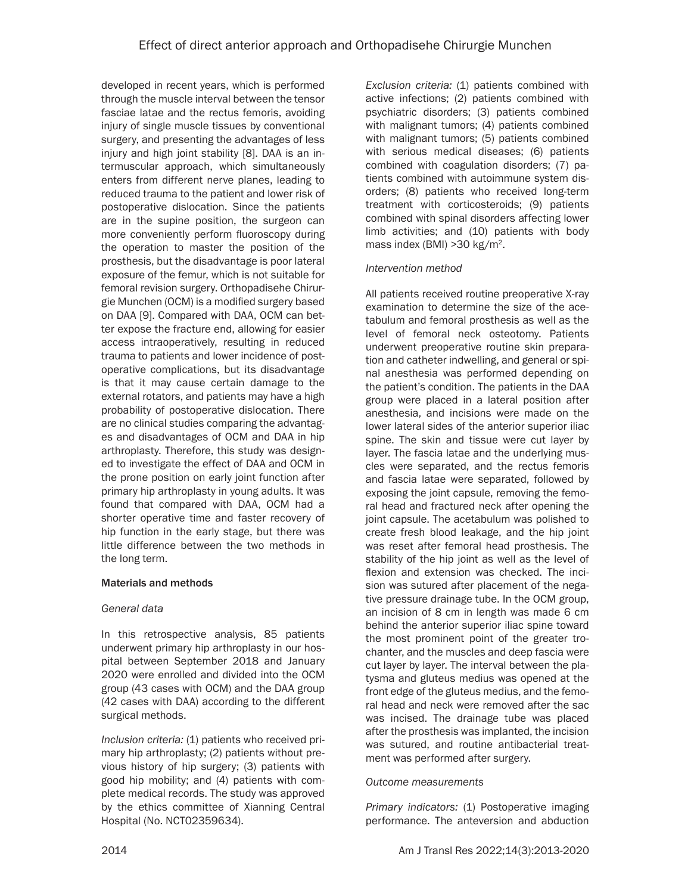developed in recent years, which is performed through the muscle interval between the tensor fasciae latae and the rectus femoris, avoiding injury of single muscle tissues by conventional surgery, and presenting the advantages of less injury and high joint stability [8]. DAA is an intermuscular approach, which simultaneously enters from different nerve planes, leading to reduced trauma to the patient and lower risk of postoperative dislocation. Since the patients are in the supine position, the surgeon can more conveniently perform fluoroscopy during the operation to master the position of the prosthesis, but the disadvantage is poor lateral exposure of the femur, which is not suitable for femoral revision surgery. Orthopadisehe Chirurgie Munchen (OCM) is a modified surgery based on DAA [9]. Compared with DAA, OCM can better expose the fracture end, allowing for easier access intraoperatively, resulting in reduced trauma to patients and lower incidence of postoperative complications, but its disadvantage is that it may cause certain damage to the external rotators, and patients may have a high probability of postoperative dislocation. There are no clinical studies comparing the advantages and disadvantages of OCM and DAA in hip arthroplasty. Therefore, this study was designed to investigate the effect of DAA and OCM in the prone position on early joint function after primary hip arthroplasty in young adults. It was found that compared with DAA, OCM had a shorter operative time and faster recovery of hip function in the early stage, but there was little difference between the two methods in the long term.

## Materials and methods

## *General data*

In this retrospective analysis, 85 patients underwent primary hip arthroplasty in our hospital between September 2018 and January 2020 were enrolled and divided into the OCM group (43 cases with OCM) and the DAA group (42 cases with DAA) according to the different surgical methods.

*Inclusion criteria:* (1) patients who received primary hip arthroplasty; (2) patients without previous history of hip surgery; (3) patients with good hip mobility; and (4) patients with complete medical records. The study was approved by the ethics committee of Xianning Central Hospital (No. NCT02359634).

*Exclusion criteria:* (1) patients combined with active infections; (2) patients combined with psychiatric disorders; (3) patients combined with malignant tumors; (4) patients combined with malignant tumors; (5) patients combined with serious medical diseases; (6) patients combined with coagulation disorders; (7) patients combined with autoimmune system disorders; (8) patients who received long-term treatment with corticosteroids; (9) patients combined with spinal disorders affecting lower limb activities; and (10) patients with body mass index (BMI) >30 kg/m2.

## *Intervention method*

All patients received routine preoperative X-ray examination to determine the size of the acetabulum and femoral prosthesis as well as the level of femoral neck osteotomy. Patients underwent preoperative routine skin preparation and catheter indwelling, and general or spinal anesthesia was performed depending on the patient's condition. The patients in the DAA group were placed in a lateral position after anesthesia, and incisions were made on the lower lateral sides of the anterior superior iliac spine. The skin and tissue were cut layer by layer. The fascia latae and the underlying muscles were separated, and the rectus femoris and fascia latae were separated, followed by exposing the joint capsule, removing the femoral head and fractured neck after opening the joint capsule. The acetabulum was polished to create fresh blood leakage, and the hip joint was reset after femoral head prosthesis. The stability of the hip joint as well as the level of flexion and extension was checked. The incision was sutured after placement of the negative pressure drainage tube. In the OCM group, an incision of 8 cm in length was made 6 cm behind the anterior superior iliac spine toward the most prominent point of the greater trochanter, and the muscles and deep fascia were cut layer by layer. The interval between the platysma and gluteus medius was opened at the front edge of the gluteus medius, and the femoral head and neck were removed after the sac was incised. The drainage tube was placed after the prosthesis was implanted, the incision was sutured, and routine antibacterial treatment was performed after surgery.

## *Outcome measurements*

*Primary indicators:* (1) Postoperative imaging performance. The anteversion and abduction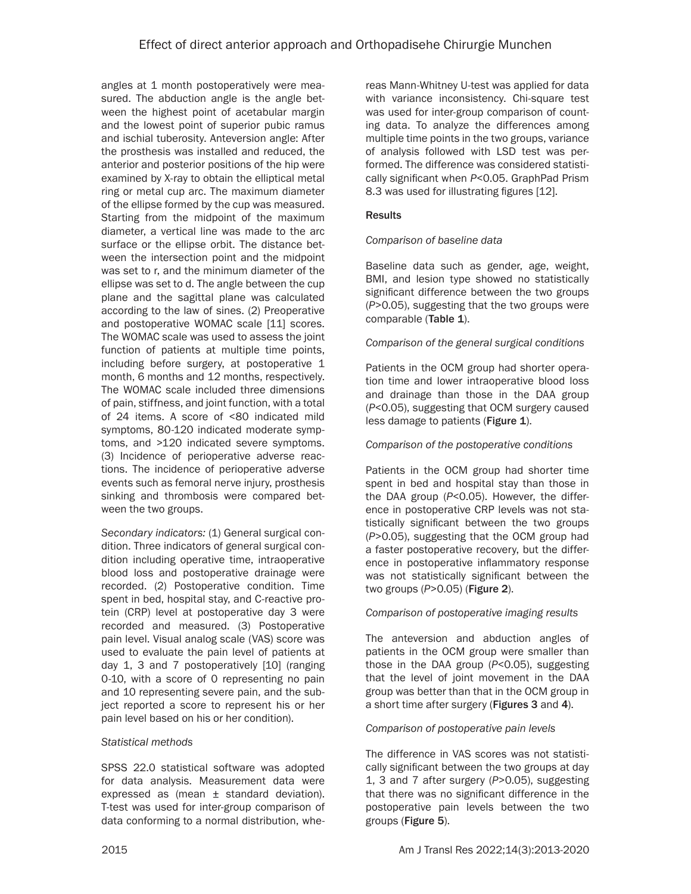angles at 1 month postoperatively were measured. The abduction angle is the angle between the highest point of acetabular margin and the lowest point of superior pubic ramus and ischial tuberosity. Anteversion angle: After the prosthesis was installed and reduced, the anterior and posterior positions of the hip were examined by X-ray to obtain the elliptical metal ring or metal cup arc. The maximum diameter of the ellipse formed by the cup was measured. Starting from the midpoint of the maximum diameter, a vertical line was made to the arc surface or the ellipse orbit. The distance between the intersection point and the midpoint was set to r, and the minimum diameter of the ellipse was set to d. The angle between the cup plane and the sagittal plane was calculated according to the law of sines. (2) Preoperative and postoperative WOMAC scale [11] scores. The WOMAC scale was used to assess the joint function of patients at multiple time points, including before surgery, at postoperative 1 month, 6 months and 12 months, respectively. The WOMAC scale included three dimensions of pain, stiffness, and joint function, with a total of 24 items. A score of <80 indicated mild symptoms, 80-120 indicated moderate symptoms, and >120 indicated severe symptoms. (3) Incidence of perioperative adverse reactions. The incidence of perioperative adverse events such as femoral nerve injury, prosthesis sinking and thrombosis were compared between the two groups.

*Secondary indicators:* (1) General surgical condition. Three indicators of general surgical condition including operative time, intraoperative blood loss and postoperative drainage were recorded. (2) Postoperative condition. Time spent in bed, hospital stay, and C-reactive protein (CRP) level at postoperative day 3 were recorded and measured. (3) Postoperative pain level. Visual analog scale (VAS) score was used to evaluate the pain level of patients at day 1, 3 and 7 postoperatively [10] (ranging 0-10, with a score of 0 representing no pain and 10 representing severe pain, and the subject reported a score to represent his or her pain level based on his or her condition).

## *Statistical methods*

SPSS 22.0 statistical software was adopted for data analysis. Measurement data were expressed as (mean ± standard deviation). T-test was used for inter-group comparison of data conforming to a normal distribution, whereas Mann-Whitney U-test was applied for data with variance inconsistency. Chi-square test was used for inter-group comparison of counting data. To analyze the differences among multiple time points in the two groups, variance of analysis followed with LSD test was performed. The difference was considered statistically significant when *P*<0.05. GraphPad Prism 8.3 was used for illustrating figures [12].

# **Results**

## *Comparison of baseline data*

Baseline data such as gender, age, weight, BMI, and lesion type showed no statistically significant difference between the two groups (*P*>0.05), suggesting that the two groups were comparable (Table 1).

## *Comparison of the general surgical conditions*

Patients in the OCM group had shorter operation time and lower intraoperative blood loss and drainage than those in the DAA group (*P*<0.05), suggesting that OCM surgery caused less damage to patients (Figure 1).

## *Comparison of the postoperative conditions*

Patients in the OCM group had shorter time spent in bed and hospital stay than those in the DAA group (*P*<0.05). However, the difference in postoperative CRP levels was not statistically significant between the two groups (*P*>0.05), suggesting that the OCM group had a faster postoperative recovery, but the difference in postoperative inflammatory response was not statistically significant between the two groups (*P*>0.05) (Figure 2).

## *Comparison of postoperative imaging results*

The anteversion and abduction angles of patients in the OCM group were smaller than those in the DAA group (*P*<0.05), suggesting that the level of joint movement in the DAA group was better than that in the OCM group in a short time after surgery (Figures 3 and 4).

## *Comparison of postoperative pain levels*

The difference in VAS scores was not statistically significant between the two groups at day 1, 3 and 7 after surgery (*P*>0.05), suggesting that there was no significant difference in the postoperative pain levels between the two groups (Figure 5).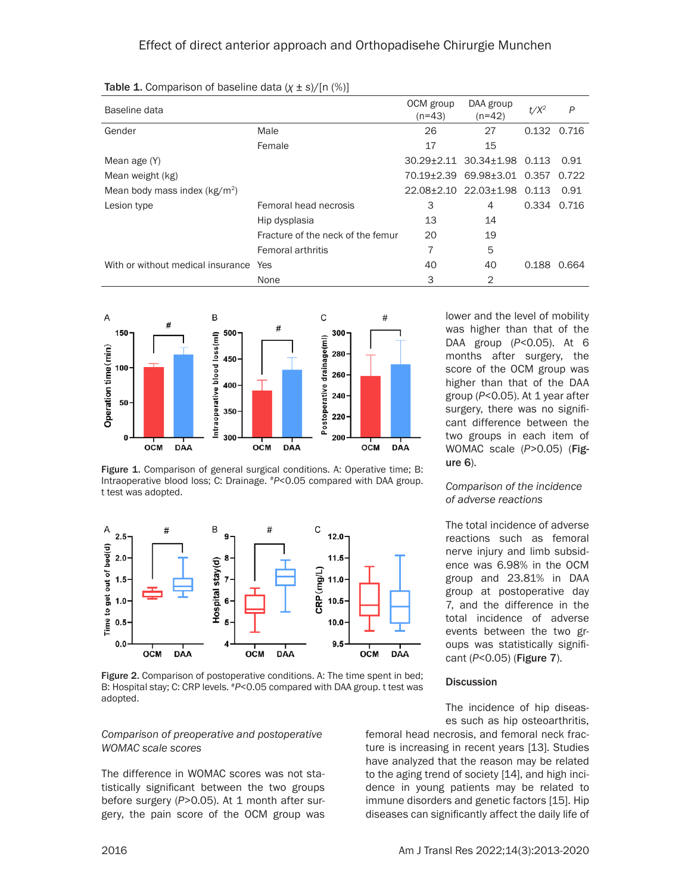| Baseline data                         |                                   | OCM group<br>$(n=43)$ | DAA group<br>$(n=42)$       | $t/X^2$     | P     |
|---------------------------------------|-----------------------------------|-----------------------|-----------------------------|-------------|-------|
| Gender                                | Male                              | 26                    | 27                          | 0.132       | 0.716 |
|                                       | Female                            | 17                    | 15                          |             |       |
| Mean age (Y)                          |                                   |                       | 30.29±2.11 30.34±1.98 0.113 |             | 0.91  |
| Mean weight (kg)                      |                                   |                       | 70.19+2.39 69.98+3.01 0.357 |             | 0.722 |
| Mean body mass index $(kg/m2)$        |                                   |                       | 22.08±2.10 22.03±1.98 0.113 |             | 0.91  |
| Lesion type                           | Femoral head necrosis             | 3                     | 4                           | 0.334 0.716 |       |
|                                       | Hip dysplasia                     | 13                    | 14                          |             |       |
|                                       | Fracture of the neck of the femur | 20                    | 19                          |             |       |
|                                       | <b>Femoral arthritis</b>          | 7                     | 5                           |             |       |
| With or without medical insurance Yes |                                   | 40                    | 40                          | 0.188       | 0.664 |
|                                       | None                              | 3                     | 2                           |             |       |

Table 1. Comparison of baseline data (*χ* ± *s*)/[n (%)]



Figure 1. Comparison of general surgical conditions. A: Operative time; B: Intraoperative blood loss; C: Drainage. #*P*<0.05 compared with DAA group. t test was adopted.



Figure 2. Comparison of postoperative conditions. A: The time spent in bed; B: Hospital stay; C: CRP levels. #*P*<0.05 compared with DAA group. t test was adopted.

#### *Comparison of preoperative and postoperative WOMAC scale scores*

The difference in WOMAC scores was not statistically significant between the two groups before surgery (P>0.05). At 1 month after surgery, the pain score of the OCM group was lower and the level of mobility was higher than that of the DAA group (*P*<0.05). At 6 months after surgery, the score of the OCM group was higher than that of the DAA group (*P*<0.05). At 1 year after surgery, there was no significant difference between the two groups in each item of WOMAC scale (*P*>0.05) (Figure 6).

## *Comparison of the incidence of adverse reactions*

The total incidence of adverse reactions such as femoral nerve injury and limb subsidence was 6.98% in the OCM group and 23.81% in DAA group at postoperative day 7, and the difference in the total incidence of adverse events between the two groups was statistically significant (*P*<0.05) (Figure 7).

## **Discussion**

The incidence of hip diseases such as hip osteoarthritis,

femoral head necrosis, and femoral neck fracture is increasing in recent years [13]. Studies have analyzed that the reason may be related to the aging trend of society [14], and high incidence in young patients may be related to immune disorders and genetic factors [15]. Hip diseases can significantly affect the daily life of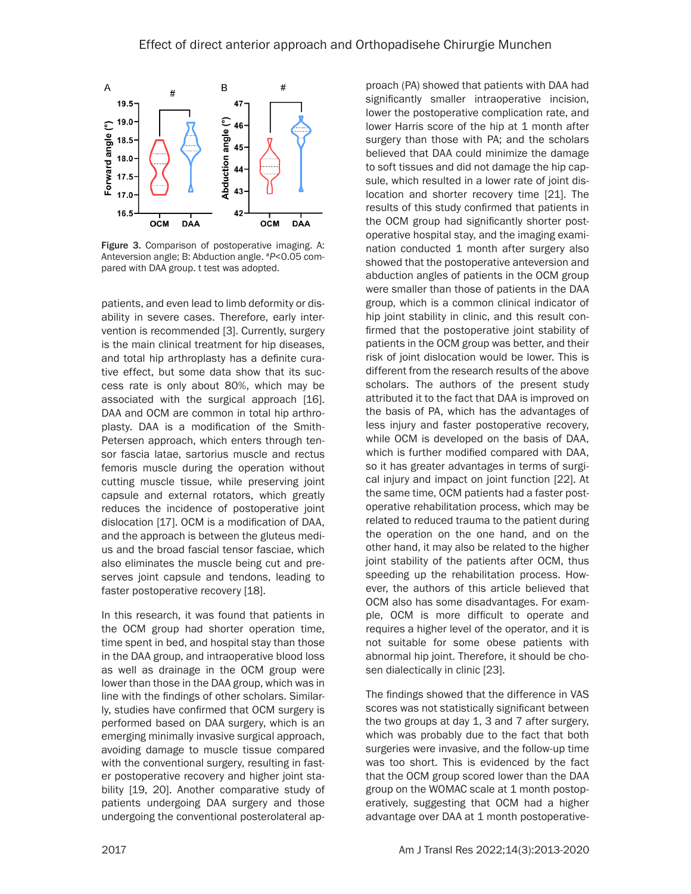

Figure 3. Comparison of postoperative imaging. A: Anteversion angle; B: Abduction angle. #*P*<0.05 compared with DAA group. t test was adopted.

patients, and even lead to limb deformity or disability in severe cases. Therefore, early intervention is recommended [3]. Currently, surgery is the main clinical treatment for hip diseases, and total hip arthroplasty has a definite curative effect, but some data show that its success rate is only about 80%, which may be associated with the surgical approach [16]. DAA and OCM are common in total hip arthroplasty. DAA is a modification of the Smith-Petersen approach, which enters through tensor fascia latae, sartorius muscle and rectus femoris muscle during the operation without cutting muscle tissue, while preserving joint capsule and external rotators, which greatly reduces the incidence of postoperative joint dislocation [17]. OCM is a modification of DAA, and the approach is between the gluteus medius and the broad fascial tensor fasciae, which also eliminates the muscle being cut and preserves joint capsule and tendons, leading to faster postoperative recovery [18].

In this research, it was found that patients in the OCM group had shorter operation time, time spent in bed, and hospital stay than those in the DAA group, and intraoperative blood loss as well as drainage in the OCM group were lower than those in the DAA group, which was in line with the findings of other scholars. Similarly, studies have confirmed that OCM surgery is performed based on DAA surgery, which is an emerging minimally invasive surgical approach, avoiding damage to muscle tissue compared with the conventional surgery, resulting in faster postoperative recovery and higher joint stability [19, 20]. Another comparative study of patients undergoing DAA surgery and those undergoing the conventional posterolateral approach (PA) showed that patients with DAA had significantly smaller intraoperative incision, lower the postoperative complication rate, and lower Harris score of the hip at 1 month after surgery than those with PA; and the scholars believed that DAA could minimize the damage to soft tissues and did not damage the hip capsule, which resulted in a lower rate of joint dislocation and shorter recovery time [21]. The results of this study confirmed that patients in the OCM group had significantly shorter postoperative hospital stay, and the imaging examination conducted 1 month after surgery also showed that the postoperative anteversion and abduction angles of patients in the OCM group were smaller than those of patients in the DAA group, which is a common clinical indicator of hip joint stability in clinic, and this result confirmed that the postoperative joint stability of patients in the OCM group was better, and their risk of joint dislocation would be lower. This is different from the research results of the above scholars. The authors of the present study attributed it to the fact that DAA is improved on the basis of PA, which has the advantages of less injury and faster postoperative recovery, while OCM is developed on the basis of DAA, which is further modified compared with DAA, so it has greater advantages in terms of surgical injury and impact on joint function [22]. At the same time, OCM patients had a faster postoperative rehabilitation process, which may be related to reduced trauma to the patient during the operation on the one hand, and on the other hand, it may also be related to the higher joint stability of the patients after OCM, thus speeding up the rehabilitation process. However, the authors of this article believed that OCM also has some disadvantages. For example, OCM is more difficult to operate and requires a higher level of the operator, and it is not suitable for some obese patients with abnormal hip joint. Therefore, it should be chosen dialectically in clinic [23].

The findings showed that the difference in VAS scores was not statistically significant between the two groups at day 1, 3 and 7 after surgery, which was probably due to the fact that both surgeries were invasive, and the follow-up time was too short. This is evidenced by the fact that the OCM group scored lower than the DAA group on the WOMAC scale at 1 month postoperatively, suggesting that OCM had a higher advantage over DAA at 1 month postoperative-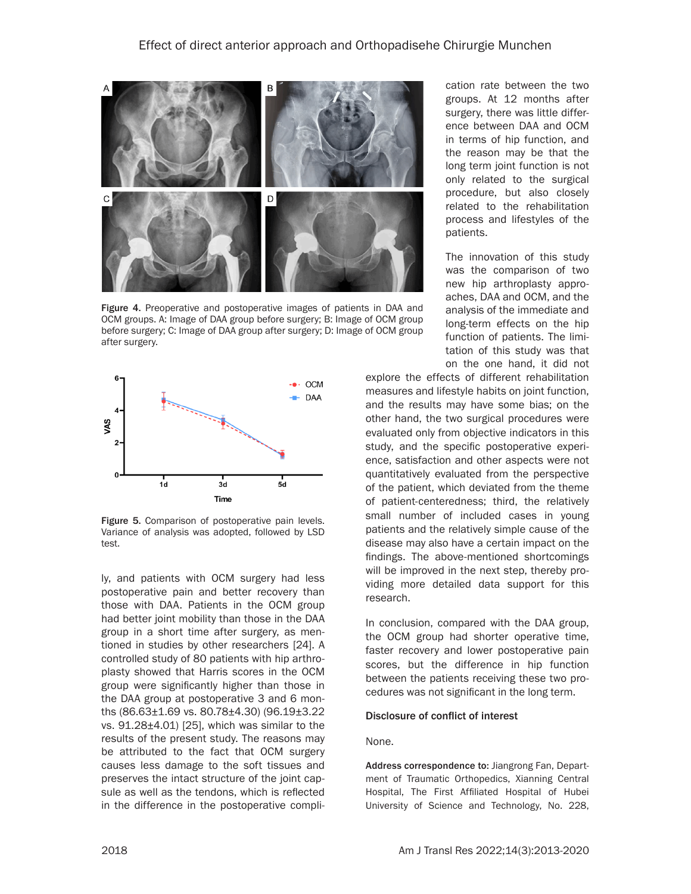

Figure 4. Preoperative and postoperative images of patients in DAA and OCM groups. A: Image of DAA group before surgery; B: Image of OCM group before surgery; C: Image of DAA group after surgery; D: Image of OCM group after surgery.



Figure 5. Comparison of postoperative pain levels. Variance of analysis was adopted, followed by LSD test.

ly, and patients with OCM surgery had less postoperative pain and better recovery than those with DAA. Patients in the OCM group had better joint mobility than those in the DAA group in a short time after surgery, as mentioned in studies by other researchers [24]. A controlled study of 80 patients with hip arthroplasty showed that Harris scores in the OCM group were significantly higher than those in the DAA group at postoperative 3 and 6 months (86.63±1.69 vs. 80.78±4.30) (96.19±3.22 vs. 91.28±4.01) [25], which was similar to the results of the present study. The reasons may be attributed to the fact that OCM surgery causes less damage to the soft tissues and preserves the intact structure of the joint capsule as well as the tendons, which is reflected in the difference in the postoperative compli-

cation rate between the two groups. At 12 months after surgery, there was little difference between DAA and OCM in terms of hip function, and the reason may be that the long term joint function is not only related to the surgical procedure, but also closely related to the rehabilitation process and lifestyles of the patients.

The innovation of this study was the comparison of two new hip arthroplasty approaches, DAA and OCM, and the analysis of the immediate and long-term effects on the hip function of patients. The limitation of this study was that on the one hand, it did not

explore the effects of different rehabilitation measures and lifestyle habits on joint function, and the results may have some bias; on the other hand, the two surgical procedures were evaluated only from objective indicators in this study, and the specific postoperative experience, satisfaction and other aspects were not quantitatively evaluated from the perspective of the patient, which deviated from the theme of patient-centeredness; third, the relatively small number of included cases in young patients and the relatively simple cause of the disease may also have a certain impact on the findings. The above-mentioned shortcomings will be improved in the next step, thereby providing more detailed data support for this research.

In conclusion, compared with the DAA group, the OCM group had shorter operative time, faster recovery and lower postoperative pain scores, but the difference in hip function between the patients receiving these two procedures was not significant in the long term.

#### Disclosure of conflict of interest

#### None.

Address correspondence to: Jiangrong Fan, Department of Traumatic Orthopedics, Xianning Central Hospital, The First Affiliated Hospital of Hubei University of Science and Technology, No. 228,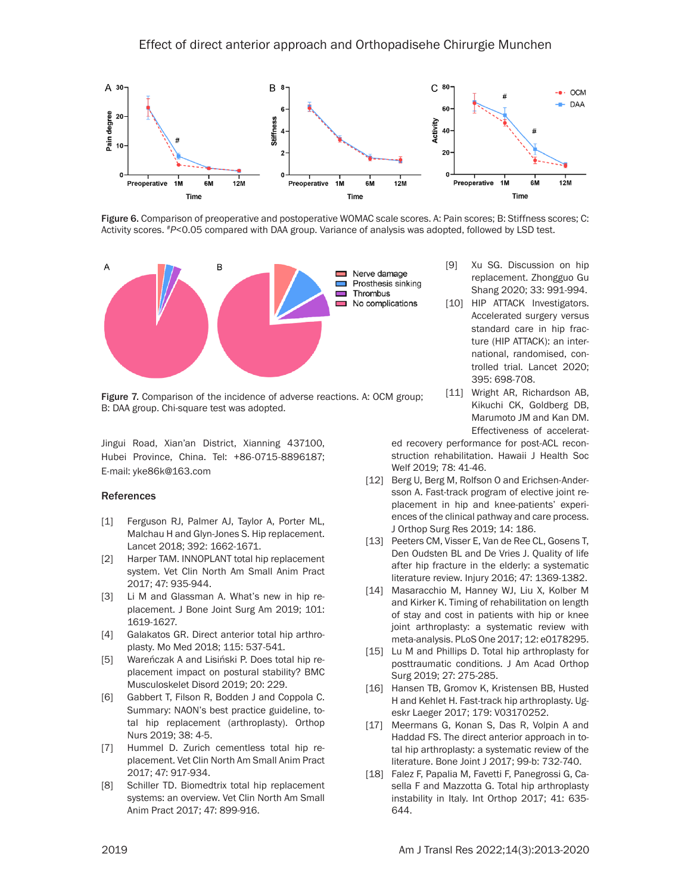

Figure 6. Comparison of preoperative and postoperative WOMAC scale scores. A: Pain scores; B: Stiffness scores; C: Activity scores. #*P*<0.05 compared with DAA group. Variance of analysis was adopted, followed by LSD test.



Figure 7. Comparison of the incidence of adverse reactions. A: OCM group; B: DAA group. Chi-square test was adopted.

Jingui Road, Xian'an District, Xianning 437100, Hubei Province, China. Tel: +86-0715-8896187; E-mail: [yke86k@163.com](mailto:yke86k@163.com)

#### References

- [1] Ferguson RJ, Palmer AJ, Taylor A, Porter ML, Malchau H and Glyn-Jones S. Hip replacement. Lancet 2018; 392: 1662-1671.
- [2] Harper TAM. INNOPLANT total hip replacement system. Vet Clin North Am Small Anim Pract 2017; 47: 935-944.
- [3] Li M and Glassman A. What's new in hip replacement. J Bone Joint Surg Am 2019; 101: 1619-1627.
- [4] Galakatos GR. Direct anterior total hip arthroplasty. Mo Med 2018; 115: 537-541.
- [5] Wareńczak A and Lisiński P. Does total hip replacement impact on postural stability? BMC Musculoskelet Disord 2019; 20: 229.
- [6] Gabbert T, Filson R, Bodden J and Coppola C. Summary: NAON's best practice guideline, total hip replacement (arthroplasty). Orthop Nurs 2019; 38: 4-5.
- [7] Hummel D. Zurich cementless total hip replacement. Vet Clin North Am Small Anim Pract 2017; 47: 917-934.
- [8] Schiller TD. Biomedtrix total hip replacement systems: an overview. Vet Clin North Am Small Anim Pract 2017; 47: 899-916.
- [9] Xu SG. Discussion on hip replacement. Zhongguo Gu Shang 2020; 33: 991-994.
- [10] HIP ATTACK Investigators. Accelerated surgery versus standard care in hip fracture (HIP ATTACK): an international, randomised, controlled trial. Lancet 2020; 395: 698-708.
- [11] Wright AR, Richardson AB, Kikuchi CK, Goldberg DB, Marumoto JM and Kan DM. Effectiveness of accelerat-

ed recovery performance for post-ACL reconstruction rehabilitation. Hawaii J Health Soc Welf 2019; 78: 41-46.

- [12] Berg U, Berg M, Rolfson O and Erichsen-Andersson A. Fast-track program of elective joint replacement in hip and knee-patients' experiences of the clinical pathway and care process. J Orthop Surg Res 2019; 14: 186.
- [13] Peeters CM, Visser E, Van de Ree CL, Gosens T, Den Oudsten BL and De Vries J. Quality of life after hip fracture in the elderly: a systematic literature review. Injury 2016; 47: 1369-1382.
- [14] Masaracchio M, Hanney WJ, Liu X, Kolber M and Kirker K. Timing of rehabilitation on length of stay and cost in patients with hip or knee joint arthroplasty: a systematic review with meta-analysis. PLoS One 2017; 12: e0178295.
- [15] Lu M and Phillips D. Total hip arthroplasty for posttraumatic conditions. J Am Acad Orthop Surg 2019; 27: 275-285.
- [16] Hansen TB, Gromov K, Kristensen BB, Husted H and Kehlet H. Fast-track hip arthroplasty. Ugeskr Laeger 2017; 179: V03170252.
- [17] Meermans G, Konan S, Das R, Volpin A and Haddad FS. The direct anterior approach in total hip arthroplasty: a systematic review of the literature. Bone Joint J 2017; 99-b: 732-740.
- [18] Falez F, Papalia M, Favetti F, Panegrossi G, Casella F and Mazzotta G. Total hip arthroplasty instability in Italy. Int Orthop 2017; 41: 635- 644.